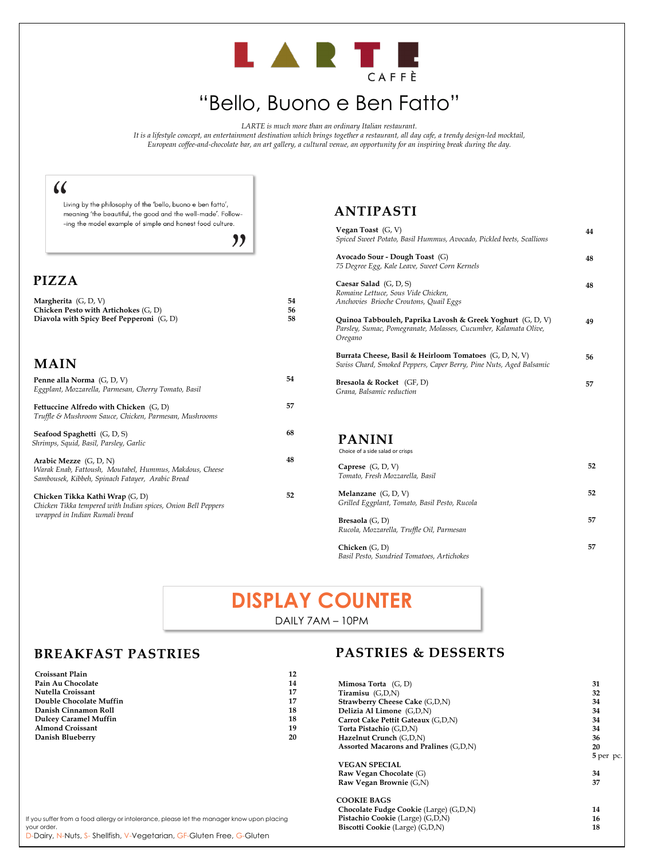# LARTE

# "Bello, Buono e Ben Fatto"

*LARTE is much more than an ordinary Italian restaurant.*

*It is a lifestyle concept, an entertainment destination which brings together a restaurant, all day cafe, a trendy design-led mocktail, European coffee-and-chocolate bar, an art gallery, a cultural venue, an opportunity for an inspiring break during the day.*

# $\omega$

Living by the philosophy of the 'bello, buono e ben fatto', meaning 'the beautiful, the good and the well-made'. Follow--ing the model example of simple and honest food culture.

"

#### **ANTIPASTI**

| Vegan Toast $(G, V)$<br>Spiced Sweet Potato, Basil Hummus, Avocado, Pickled beets, Scallions                                                | 44 |
|---------------------------------------------------------------------------------------------------------------------------------------------|----|
| Avocado Sour - Dough Toast (G)<br>75 Degree Egg, Kale Leave, Sweet Corn Kernels                                                             | 48 |
| Caesar Salad (G, D, S)<br>Romaine Lettuce, Sous Vide Chicken,<br>Anchovies Brioche Croutons, Quail Eggs                                     | 48 |
| Quinoa Tabbouleh, Paprika Lavosh & Greek Yoghurt $(G, D, V)$<br>Parsley, Sumac, Pomegranate, Molasses, Cucumber, Kalamata Olive,<br>Oregano | 49 |
| Burrata Cheese, Basil & Heirloom Tomatoes (G, D, N, V)<br>Swiss Chard, Smoked Peppers, Caper Berry, Pine Nuts, Aged Balsamic                | 56 |
| Bresaola & Rocket (GF, D)<br>Grana, Balsamic reduction                                                                                      | 57 |
| <b>PANINI</b><br>Choice of a side salad or crisps                                                                                           |    |
| Caprese $(G, D, V)$<br>Tomato, Fresh Mozzarella, Basil                                                                                      | 52 |
| Melanzane $(G, D, V)$<br>Grilled Eggplant, Tomato, Basil Pesto, Rucola                                                                      | 52 |

| <b>Croissant Plain</b>                                                                     | 12 |                                        |           |
|--------------------------------------------------------------------------------------------|----|----------------------------------------|-----------|
| Pain Au Chocolate                                                                          | 14 | <b>Mimosa Torta</b> $(G, D)$           | 31        |
| Nutella Croissant                                                                          | 17 | Tiramisu (G,D,N)                       | 32        |
| Double Chocolate Muffin                                                                    | 17 | <b>Strawberry Cheese Cake (G,D,N)</b>  | 34        |
| Danish Cinnamon Roll                                                                       | 18 | Delizia Al Limone (G,D,N)              | 34        |
| <b>Dulcey Caramel Muffin</b>                                                               | 18 | Carrot Cake Pettit Gateaux (G,D,N)     | 34        |
| <b>Almond Croissant</b>                                                                    | 19 | Torta Pistachio (G,D,N)                | 34        |
| Danish Blueberry                                                                           | 20 | Hazelnut Crunch (G,D,N)                | 36        |
|                                                                                            |    | Assorted Macarons and Pralines (G,D,N) | 20        |
|                                                                                            |    |                                        | 5 per pc. |
|                                                                                            |    | <b>VEGAN SPECIAL</b>                   |           |
|                                                                                            |    | Raw Vegan Chocolate (G)                | 34        |
|                                                                                            |    | Raw Vegan Brownie (G,N)                | 37        |
|                                                                                            |    | <b>COOKIE BAGS</b>                     |           |
|                                                                                            |    | Chocolate Fudge Cookie (Large) (G,D,N) | 14        |
| If you suffer from a food allergy or intolerance, please let the manager know upon placing |    | Pistachio Cookie (Large) (G,D,N)       | 16        |
| your order.                                                                                |    | Biscotti Cookie (Large) (G,D,N)        | 18        |
| D-Dairy, N-Nuts, S- Shellfish, V-Vegetarian, GF-Gluten Free, G-Gluten                      |    |                                        |           |
|                                                                                            |    |                                        |           |

**Bresaola** (G, D)

*Rucola, Mozzarella, Truffle Oil, Parmesan*

**Chicken** (G, D) *Basil Pesto, Sundried Tomatoes, Artichokes*  **57**

**57**

#### **PIZZA**

| <b>Margherita</b> $(G, D, V)$              | 54 |
|--------------------------------------------|----|
| Chicken Pesto with Artichokes (G, D)       | 56 |
| Diavola with Spicy Beef Pepperoni $(G, D)$ | 58 |
|                                            |    |

# **DISPLAY COUNTER**

DAILY 7AM – 10PM

#### **MAIN**

| Penne alla Norma (G, D, V)<br>Eggplant, Mozzarella, Parmesan, Cherry Tomato, Basil                                                      | 54 |
|-----------------------------------------------------------------------------------------------------------------------------------------|----|
| Fettuccine Alfredo with Chicken $(G, D)$<br>Truffle & Mushroom Sauce, Chicken, Parmesan, Mushrooms                                      | 57 |
| <b>Seafood Spaghetti</b> (G, D, S)<br>Shrimps, Squid, Basil, Parsley, Garlic                                                            | 68 |
| Arabic Mezze $(G, D, N)$<br>Warak Enab, Fattoush, Moutabel, Hummus, Makdous, Cheese<br>Sambousek, Kibbeh, Spinach Fatayer, Arabic Bread | 48 |
| Chicken Tikka Kathi Wrap (G, D)                                                                                                         | 52 |

*Chicken Tikka tempered with Indian spices, Onion Bell Peppers wrapped in Indian Rumali bread*

## **BREAKFAST PASTRIES**

#### **PASTRIES & DESSERTS**